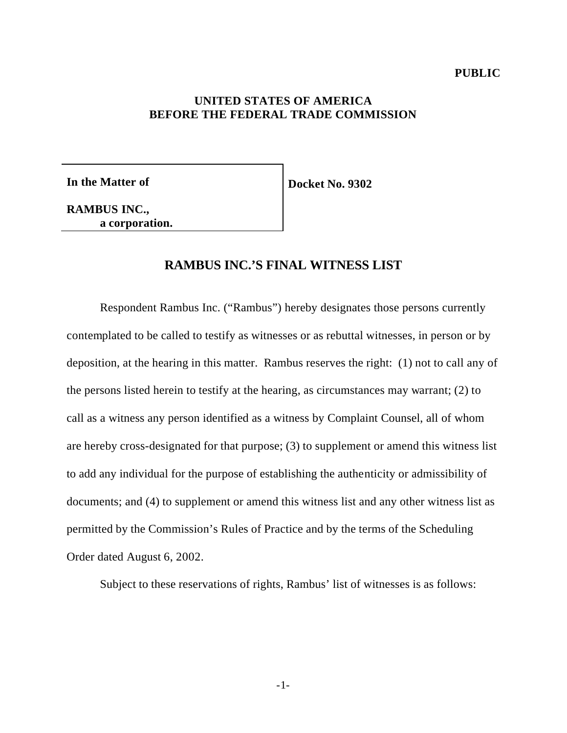### **PUBLIC**

## **UNITED STATES OF AMERICA BEFORE THE FEDERAL TRADE COMMISSION**

**In the Matter of**

**Docket No. 9302**

**RAMBUS INC., a corporation.**

# **RAMBUS INC.'S FINAL WITNESS LIST**

Respondent Rambus Inc. ("Rambus") hereby designates those persons currently contemplated to be called to testify as witnesses or as rebuttal witnesses, in person or by deposition, at the hearing in this matter. Rambus reserves the right: (1) not to call any of the persons listed herein to testify at the hearing, as circumstances may warrant; (2) to call as a witness any person identified as a witness by Complaint Counsel, all of whom are hereby cross-designated for that purpose; (3) to supplement or amend this witness list to add any individual for the purpose of establishing the authenticity or admissibility of documents; and (4) to supplement or amend this witness list and any other witness list as permitted by the Commission's Rules of Practice and by the terms of the Scheduling Order dated August 6, 2002.

Subject to these reservations of rights, Rambus' list of witnesses is as follows: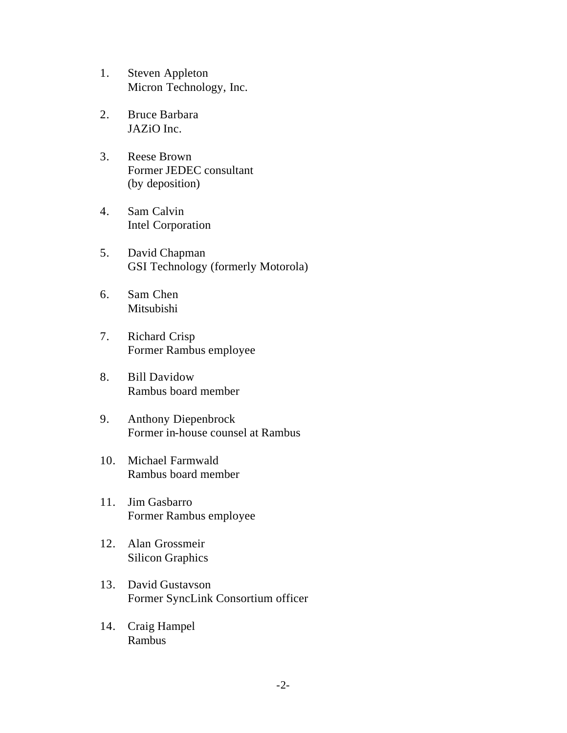- 1. Steven Appleton Micron Technology, Inc.
- 2. Bruce Barbara JAZiO Inc.
- 3. Reese Brown Former JEDEC consultant (by deposition)
- 4. Sam Calvin Intel Corporation
- 5. David Chapman GSI Technology (formerly Motorola)
- 6. Sam Chen Mitsubishi
- 7. Richard Crisp Former Rambus employee
- 8. Bill Davidow Rambus board member
- 9. Anthony Diepenbrock Former in-house counsel at Rambus
- 10. Michael Farmwald Rambus board member
- 11. Jim Gasbarro Former Rambus employee
- 12. Alan Grossmeir Silicon Graphics
- 13. David Gustavson Former SyncLink Consortium officer
- 14. Craig Hampel Rambus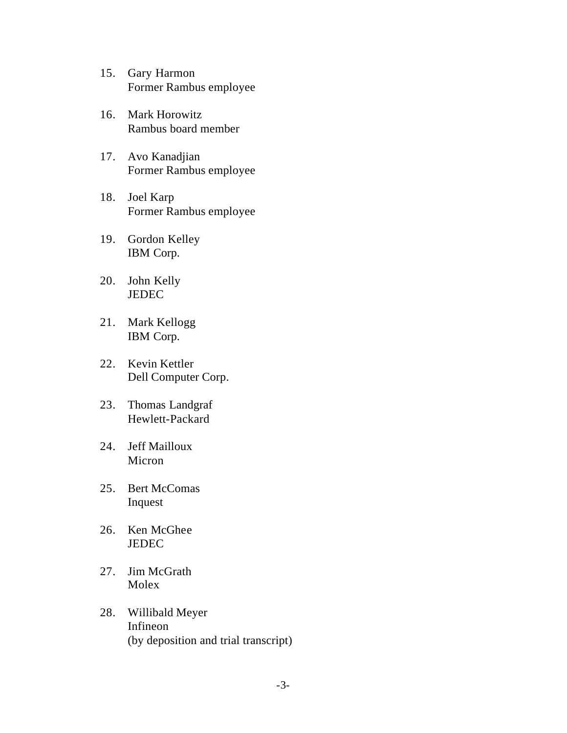- 15. Gary Harmon Former Rambus employee
- 16. Mark Horowitz Rambus board member
- 17. Avo Kanadjian Former Rambus employee
- 18. Joel Karp Former Rambus employee
- 19. Gordon Kelley IBM Corp.
- 20. John Kelly JEDEC
- 21. Mark Kellogg IBM Corp.
- 22. Kevin Kettler Dell Computer Corp.
- 23. Thomas Landgraf Hewlett-Packard
- 24. Jeff Mailloux Micron
- 25. Bert McComas Inquest
- 26. Ken McGhee **JEDEC**
- 27. Jim McGrath Molex
- 28. Willibald Meyer Infineon (by deposition and trial transcript)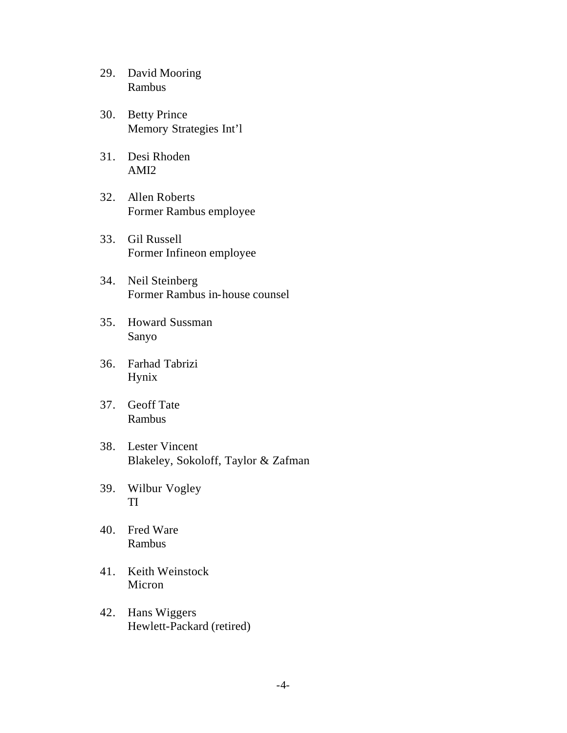- 29. David Mooring Rambus
- 30. Betty Prince Memory Strategies Int'l
- 31. Desi Rhoden AMI2
- 32. Allen Roberts Former Rambus employee
- 33. Gil Russell Former Infineon employee
- 34. Neil Steinberg Former Rambus in-house counsel
- 35. Howard Sussman Sanyo
- 36. Farhad Tabrizi Hynix
- 37. Geoff Tate Rambus
- 38. Lester Vincent Blakeley, Sokoloff, Taylor & Zafman
- 39. Wilbur Vogley TI
- 40. Fred Ware Rambus
- 41. Keith Weinstock Micron
- 42. Hans Wiggers Hewlett-Packard (retired)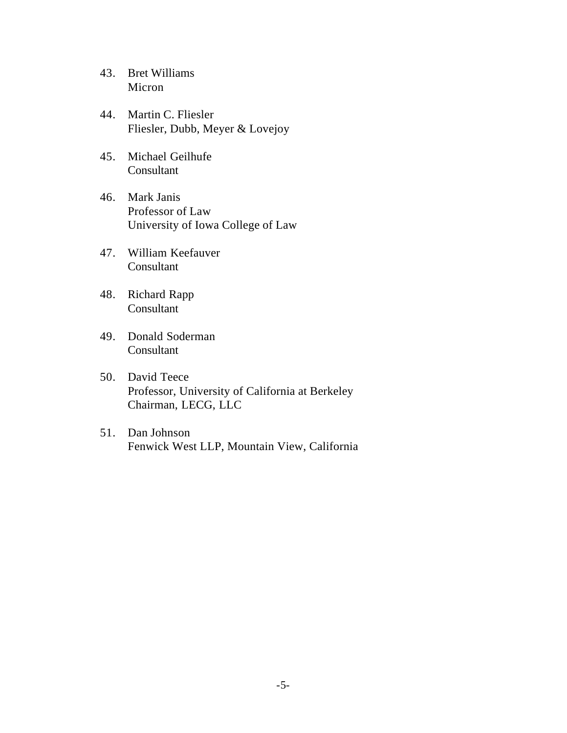- 43. Bret Williams Micron
- 44. Martin C. Fliesler Fliesler, Dubb, Meyer & Lovejoy
- 45. Michael Geilhufe Consultant
- 46. Mark Janis Professor of Law University of Iowa College of Law
- 47. William Keefauver Consultant
- 48. Richard Rapp Consultant
- 49. Donald Soderman Consultant
- 50. David Teece Professor, University of California at Berkeley Chairman, LECG, LLC
- 51. Dan Johnson Fenwick West LLP, Mountain View, California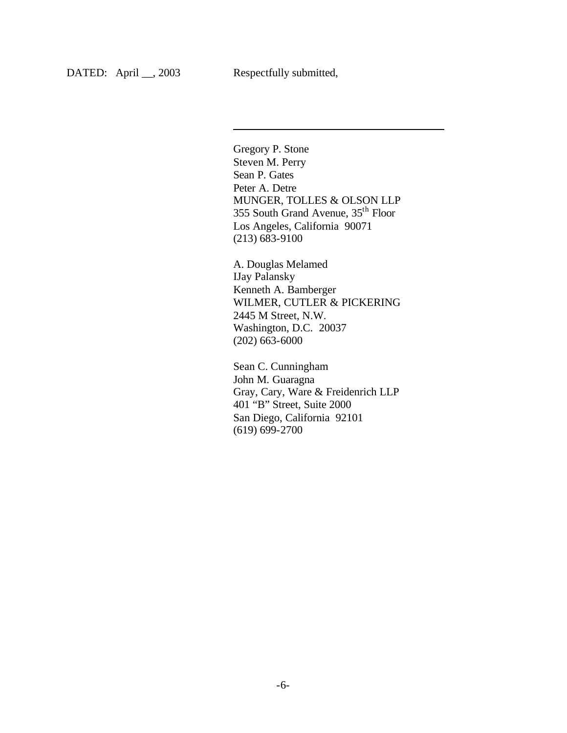$\overline{a}$ 

Gregory P. Stone Steven M. Perry Sean P. Gates Peter A. Detre MUNGER, TOLLES & OLSON LLP 355 South Grand Avenue, 35th Floor Los Angeles, California 90071 (213) 683-9100

A. Douglas Melamed IJay Palansky Kenneth A. Bamberger WILMER, CUTLER & PICKERING 2445 M Street, N.W. Washington, D.C. 20037 (202) 663-6000

Sean C. Cunningham John M. Guaragna Gray, Cary, Ware & Freidenrich LLP 401 "B" Street, Suite 2000 San Diego, California 92101 (619) 699-2700